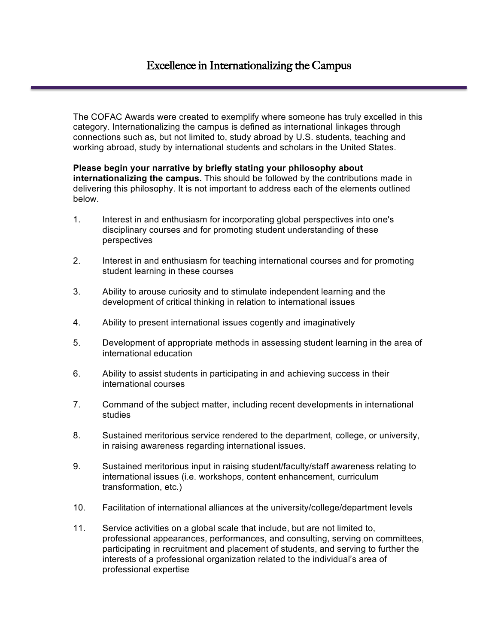The COFAC Awards were created to exemplify where someone has truly excelled in this category. Internationalizing the campus is defined as international linkages through connections such as, but not limited to, study abroad by U.S. students, teaching and working abroad, study by international students and scholars in the United States.

**Please begin your narrative by briefly stating your philosophy about internationalizing the campus.** This should be followed by the contributions made in delivering this philosophy. It is not important to address each of the elements outlined below.

- 1. Interest in and enthusiasm for incorporating global perspectives into one's disciplinary courses and for promoting student understanding of these perspectives
- 2. Interest in and enthusiasm for teaching international courses and for promoting student learning in these courses
- 3. Ability to arouse curiosity and to stimulate independent learning and the development of critical thinking in relation to international issues
- 4. Ability to present international issues cogently and imaginatively
- 5. Development of appropriate methods in assessing student learning in the area of international education
- 6. Ability to assist students in participating in and achieving success in their international courses
- 7. Command of the subject matter, including recent developments in international studies
- 8. Sustained meritorious service rendered to the department, college, or university, in raising awareness regarding international issues.
- 9. Sustained meritorious input in raising student/faculty/staff awareness relating to international issues (i.e. workshops, content enhancement, curriculum transformation, etc.)
- 10. Facilitation of international alliances at the university/college/department levels
- 11. Service activities on a global scale that include, but are not limited to, professional appearances, performances, and consulting, serving on committees, participating in recruitment and placement of students, and serving to further the interests of a professional organization related to the individual's area of professional expertise